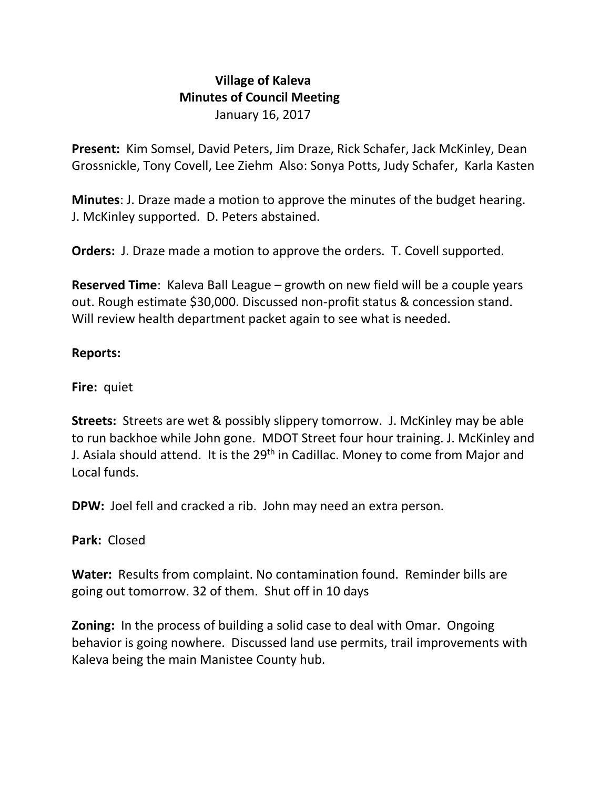## **Village of Kaleva Minutes of Council Meeting** January 16, 2017

**Present:** Kim Somsel, David Peters, Jim Draze, Rick Schafer, Jack McKinley, Dean Grossnickle, Tony Covell, Lee Ziehm Also: Sonya Potts, Judy Schafer, Karla Kasten

**Minutes**: J. Draze made a motion to approve the minutes of the budget hearing. J. McKinley supported. D. Peters abstained.

**Orders:** J. Draze made a motion to approve the orders. T. Covell supported.

**Reserved Time**: Kaleva Ball League – growth on new field will be a couple years out. Rough estimate \$30,000. Discussed non-profit status & concession stand. Will review health department packet again to see what is needed.

## **Reports:**

**Fire:** quiet

**Streets:** Streets are wet & possibly slippery tomorrow. J. McKinley may be able to run backhoe while John gone. MDOT Street four hour training. J. McKinley and J. Asiala should attend. It is the 29<sup>th</sup> in Cadillac. Money to come from Major and Local funds.

**DPW:** Joel fell and cracked a rib. John may need an extra person.

**Park:** Closed

**Water:** Results from complaint. No contamination found. Reminder bills are going out tomorrow. 32 of them. Shut off in 10 days

**Zoning:** In the process of building a solid case to deal with Omar. Ongoing behavior is going nowhere. Discussed land use permits, trail improvements with Kaleva being the main Manistee County hub.